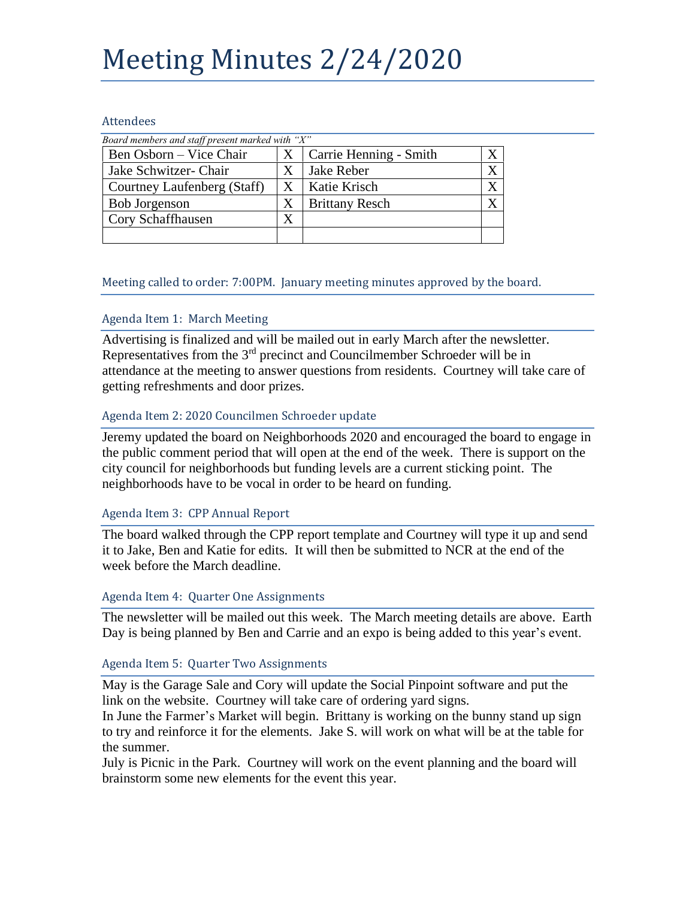# Meeting Minutes 2/24/2020

#### Attendees

| Board members and staff present marked with "X" |   |                        |  |
|-------------------------------------------------|---|------------------------|--|
| Ben Osborn – Vice Chair                         | X | Carrie Henning - Smith |  |
| Jake Schwitzer- Chair                           | X | Jake Reber             |  |
| Courtney Laufenberg (Staff)                     | Х | Katie Krisch           |  |
| <b>Bob Jorgenson</b>                            | X | <b>Brittany Resch</b>  |  |
| Cory Schaffhausen                               |   |                        |  |
|                                                 |   |                        |  |

## Meeting called to order: 7:00PM. January meeting minutes approved by the board.

## Agenda Item 1: March Meeting

Advertising is finalized and will be mailed out in early March after the newsletter. Representatives from the  $3<sup>rd</sup>$  precinct and Councilmember Schroeder will be in attendance at the meeting to answer questions from residents. Courtney will take care of getting refreshments and door prizes.

## Agenda Item 2: 2020 Councilmen Schroeder update

Jeremy updated the board on Neighborhoods 2020 and encouraged the board to engage in the public comment period that will open at the end of the week. There is support on the city council for neighborhoods but funding levels are a current sticking point. The neighborhoods have to be vocal in order to be heard on funding.

## Agenda Item 3: CPP Annual Report

The board walked through the CPP report template and Courtney will type it up and send it to Jake, Ben and Katie for edits. It will then be submitted to NCR at the end of the week before the March deadline.

## Agenda Item 4: Quarter One Assignments

The newsletter will be mailed out this week. The March meeting details are above. Earth Day is being planned by Ben and Carrie and an expo is being added to this year's event.

## Agenda Item 5: Quarter Two Assignments

May is the Garage Sale and Cory will update the Social Pinpoint software and put the link on the website. Courtney will take care of ordering yard signs.

In June the Farmer's Market will begin. Brittany is working on the bunny stand up sign to try and reinforce it for the elements. Jake S. will work on what will be at the table for the summer.

July is Picnic in the Park. Courtney will work on the event planning and the board will brainstorm some new elements for the event this year.